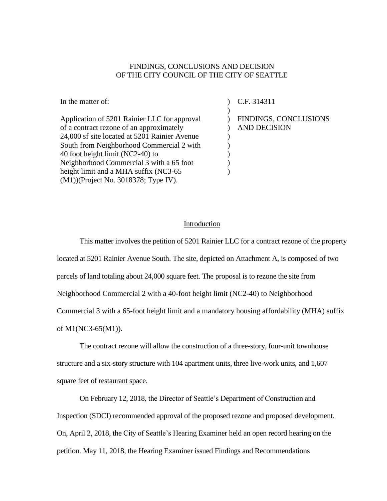#### FINDINGS, CONCLUSIONS AND DECISION OF THE CITY COUNCIL OF THE CITY OF SEATTLE

In the matter of: Application of 5201 Rainier LLC for approval of a contract rezone of an approximately 24,000 sf site located at 5201 Rainier Avenue South from Neighborhood Commercial 2 with 40 foot height limit (NC2-40) to Neighborhood Commercial 3 with a 65 foot height limit and a MHA suffix (NC3-65 (M1))(Project No. 3018378; Type IV).  $\mathcal{L}$ ) ) FINDINGS, CONCLUSIONS  $\mathcal{L}$  $\lambda$  $\mathcal{L}$  $\mathcal{L}$  $\mathcal{L}$  $\lambda$ C.F. 314311 AND DECISION

#### Introduction

This matter involves the petition of 5201 Rainier LLC for a contract rezone of the property located at 5201 Rainier Avenue South. The site, depicted on Attachment A, is composed of two parcels of land totaling about 24,000 square feet. The proposal is to rezone the site from Neighborhood Commercial 2 with a 40-foot height limit (NC2-40) to Neighborhood Commercial 3 with a 65-foot height limit and a mandatory housing affordability (MHA) suffix of M1(NC3-65(M1)).

The contract rezone will allow the construction of a three-story, four-unit townhouse structure and a six-story structure with 104 apartment units, three live-work units, and 1,607 square feet of restaurant space.

On February 12, 2018, the Director of Seattle's Department of Construction and Inspection (SDCI) recommended approval of the proposed rezone and proposed development. On, April 2, 2018, the City of Seattle's Hearing Examiner held an open record hearing on the petition. May 11, 2018, the Hearing Examiner issued Findings and Recommendations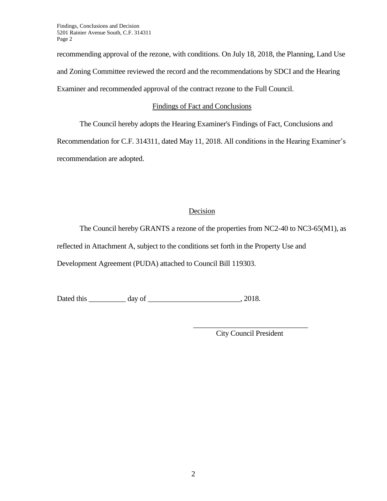Findings, Conclusions and Decision 5201 Rainier Avenue South, C.F. 314311 Page 2

recommending approval of the rezone, with conditions. On July 18, 2018, the Planning, Land Use and Zoning Committee reviewed the record and the recommendations by SDCI and the Hearing Examiner and recommended approval of the contract rezone to the Full Council.

### Findings of Fact and Conclusions

The Council hereby adopts the Hearing Examiner's Findings of Fact, Conclusions and

Recommendation for C.F. 314311, dated May 11, 2018. All conditions in the Hearing Examiner's recommendation are adopted.

## Decision

The Council hereby GRANTS a rezone of the properties from NC2-40 to NC3-65(M1), as reflected in Attachment A, subject to the conditions set forth in the Property Use and Development Agreement (PUDA) attached to Council Bill 119303.

Dated this \_\_\_\_\_\_\_\_\_\_ day of \_\_\_\_\_\_\_\_\_\_\_\_\_\_\_\_\_\_\_\_\_\_\_\_\_, 2018.

\_\_\_\_\_\_\_\_\_\_\_\_\_\_\_\_\_\_\_\_\_\_\_\_\_\_\_\_\_\_\_ City Council President